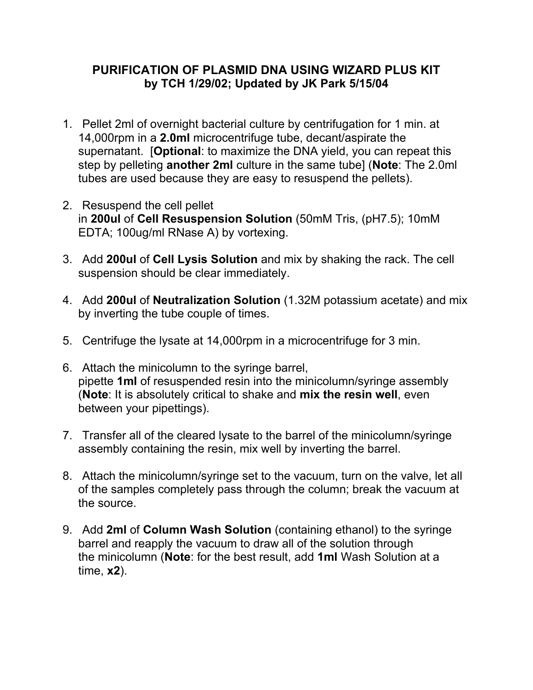## **PURIFICATION OF PLASMID DNA USING WIZARD PLUS KIT by TCH 1/29/02; Updated by JK Park 5/15/04**

- 1. Pellet 2ml of overnight bacterial culture by centrifugation for 1 min. at 14,000rpm in a **2.0ml** microcentrifuge tube, decant/aspirate the supernatant. [**Optional**: to maximize the DNA yield, you can repeat this step by pelleting **another 2ml** culture in the same tube] (**Note**: The 2.0ml tubes are used because they are easy to resuspend the pellets).
- 2. Resuspend the cell pellet in **200ul** of **Cell Resuspension Solution** (50mM Tris, (pH7.5); 10mM EDTA; 100ug/ml RNase A) by vortexing.
- 3. Add **200ul** of **Cell Lysis Solution** and mix by shaking the rack. The cell suspension should be clear immediately.
- 4. Add **200ul** of **Neutralization Solution** (1.32M potassium acetate) and mix by inverting the tube couple of times.
- 5. Centrifuge the lysate at 14,000rpm in a microcentrifuge for 3 min.
- 6. Attach the minicolumn to the syringe barrel, pipette **1ml** of resuspended resin into the minicolumn/syringe assembly (**Note**: It is absolutely critical to shake and **mix the resin well**, even between your pipettings).
- 7. Transfer all of the cleared lysate to the barrel of the minicolumn/syringe assembly containing the resin, mix well by inverting the barrel.
- 8. Attach the minicolumn/syringe set to the vacuum, turn on the valve, let all of the samples completely pass through the column; break the vacuum at the source.
- 9. Add **2ml** of **Column Wash Solution** (containing ethanol) to the syringe barrel and reapply the vacuum to draw all of the solution through the minicolumn (**Note**: for the best result, add **1ml** Wash Solution at a time, **x2**).